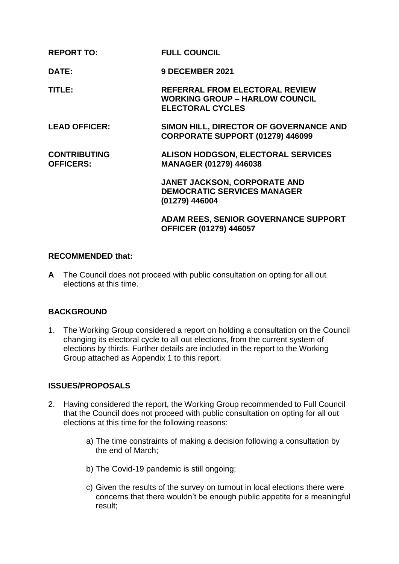| <b>REPORT TO:</b>                       | <b>FULL COUNCIL</b>                                                                                |
|-----------------------------------------|----------------------------------------------------------------------------------------------------|
| DATE:                                   | <b>9 DECEMBER 2021</b>                                                                             |
| TITLE:                                  | REFERRAL FROM ELECTORAL REVIEW<br><b>WORKING GROUP - HARLOW COUNCIL</b><br><b>ELECTORAL CYCLES</b> |
| <b>LEAD OFFICER:</b>                    | SIMON HILL, DIRECTOR OF GOVERNANCE AND<br>CORPORATE SUPPORT (01279) 446099                         |
| <b>CONTRIBUTING</b><br><b>OFFICERS:</b> | <b>ALISON HODGSON, ELECTORAL SERVICES</b><br><b>MANAGER (01279) 446038</b>                         |
|                                         | JANET JACKSON, CORPORATE AND<br><b>DEMOCRATIC SERVICES MANAGER</b><br>(01279) 446004               |
|                                         | <b>ADAM REES, SENIOR GOVERNANCE SUPPORT</b><br>OFFICER (01279) 446057                              |

## **RECOMMENDED that:**

**A** The Council does not proceed with public consultation on opting for all out elections at this time.

## **BACKGROUND**

1. The Working Group considered a report on holding a consultation on the Council changing its electoral cycle to all out elections, from the current system of elections by thirds. Further details are included in the report to the Working Group attached as Appendix 1 to this report.

## **ISSUES/PROPOSALS**

- 2. Having considered the report, the Working Group recommended to Full Council that the Council does not proceed with public consultation on opting for all out elections at this time for the following reasons:
	- a) The time constraints of making a decision following a consultation by the end of March;
	- b) The Covid-19 pandemic is still ongoing;
	- c) Given the results of the survey on turnout in local elections there were concerns that there wouldn't be enough public appetite for a meaningful result;